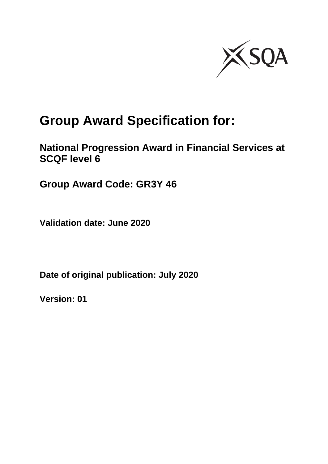

# **Group Award Specification for:**

**National Progression Award in Financial Services at SCQF level 6**

**Group Award Code: GR3Y 46**

**Validation date: June 2020**

**Date of original publication: July 2020**

**Version: 01**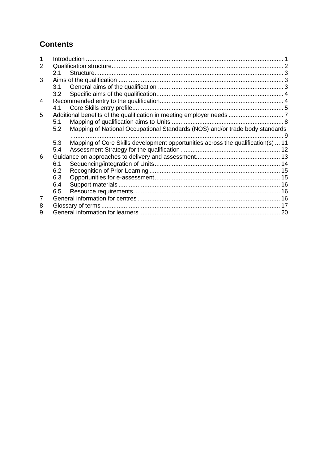### **Contents**

| 2 |     |                                                                                          |  |
|---|-----|------------------------------------------------------------------------------------------|--|
|   | 2.1 |                                                                                          |  |
| 3 |     |                                                                                          |  |
|   |     |                                                                                          |  |
|   | 3.2 |                                                                                          |  |
| 4 |     |                                                                                          |  |
|   | 4.1 |                                                                                          |  |
| 5 |     |                                                                                          |  |
|   | 5.1 |                                                                                          |  |
|   | 5.2 | Mapping of National Occupational Standards (NOS) and/or trade body standards<br>$\sim$ 9 |  |
|   | 5.3 | Mapping of Core Skills development opportunities across the qualification(s)  11         |  |
|   | 5.4 |                                                                                          |  |
| 6 |     |                                                                                          |  |
|   | 6.1 |                                                                                          |  |
|   | 6.2 |                                                                                          |  |
|   | 6.3 |                                                                                          |  |
|   | 6.4 |                                                                                          |  |
|   | 6.5 |                                                                                          |  |
| 7 |     |                                                                                          |  |
| 8 |     |                                                                                          |  |
| 9 |     |                                                                                          |  |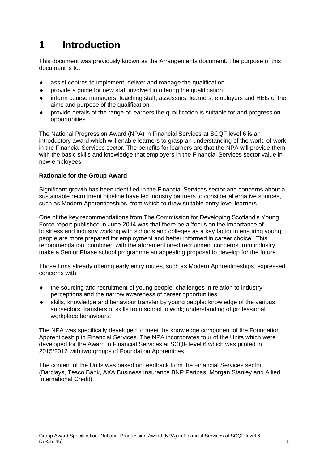## <span id="page-2-0"></span>**1 Introduction**

This document was previously known as the Arrangements document. The purpose of this document is to:

- assist centres to implement, deliver and manage the qualification
- provide a guide for new staff involved in offering the qualification
- inform course managers, teaching staff, assessors, learners, employers and HEIs of the aims and purpose of the qualification
- provide details of the range of learners the qualification is suitable for and progression opportunities

The National Progression Award (NPA) in Financial Services at SCQF level 6 is an introductory award which will enable learners to grasp an understanding of the world of work in the Financial Services sector. The benefits for learners are that the NPA will provide them with the basic skills and knowledge that employers in the Financial Services sector value in new employees.

#### **Rationale for the Group Award**

Significant growth has been identified in the Financial Services sector and concerns about a sustainable recruitment pipeline have led industry partners to consider alternative sources, such as Modern Apprenticeships, from which to draw suitable entry level learners.

One of the key recommendations from The Commission for Developing Scotland's Young Force report published in June 2014 was that there be a 'focus on the importance of business and industry working with schools and colleges as a key factor in ensuring young people are more prepared for employment and better informed in career choice'. This recommendation, combined with the aforementioned recruitment concerns from industry, make a Senior Phase school programme an appealing proposal to develop for the future.

Those firms already offering early entry routes, such as Modern Apprenticeships, expressed concerns with:

- the sourcing and recruitment of young people: challenges in relation to industry perceptions and the narrow awareness of career opportunities.
- skills, knowledge and behaviour transfer by young people: knowledge of the various subsectors, transfers of skills from school to work; understanding of professional workplace behaviours.

The NPA was specifically developed to meet the knowledge component of the Foundation Apprenticeship in Financial Services. The NPA incorporates four of the Units which were developed for the Award in Financial Services at SCQF level 6 which was piloted in 2015/2016 with two groups of Foundation Apprentices.

The content of the Units was based on feedback from the Financial Services sector (Barclays, Tesco Bank, AXA Business Insurance BNP Paribas, Morgan Stanley and Allied International Credit).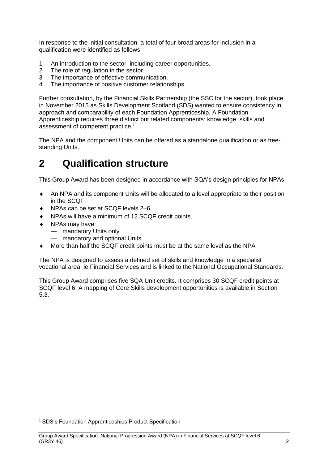In response to the initial consultation, a total of four broad areas for inclusion in a qualification were identified as follows:

- 1 An introduction to the sector, including career opportunities.
- 2 The role of regulation in the sector.
- 3 The importance of effective communication.
- 4 The importance of positive customer relationships.

Further consultation, by the Financial Skills Partnership (the SSC for the sector), took place in November 2015 as Skills Development Scotland (SDS) wanted to ensure consistency in approach and comparability of each Foundation Apprenticeship. A Foundation Apprenticeship requires three distinct but related components: knowledge, skills and assessment of competent practice.<sup>1</sup>

The NPA and the component Units can be offered as a standalone qualification or as freestanding Units.

## <span id="page-3-0"></span>**2 Qualification structure**

This Group Award has been designed in accordance with SQA's design principles for NPAs:

- An NPA and its component Units will be allocated to a level appropriate to their position in the SCQF
- NPAs can be set at SCQF levels 2−6
- NPAs will have a minimum of 12 SCQF credit points.
- NPAs may have:
	- mandatory Units only
	- mandatory and optional Units
- More than half the SCQF credit points must be at the same level as the NPA

The NPA is designed to assess a defined set of skills and knowledge in a specialist vocational area, ie Financial Services and is linked to the National Occupational Standards.

This Group Award comprises five SQA Unit credits. It comprises 30 SCQF credit points at SCQF level 6. A mapping of Core Skills development opportunities is available in Section 5.3.

<sup>&</sup>lt;sup>1</sup> SDS's Foundation Apprenticeships Product Specification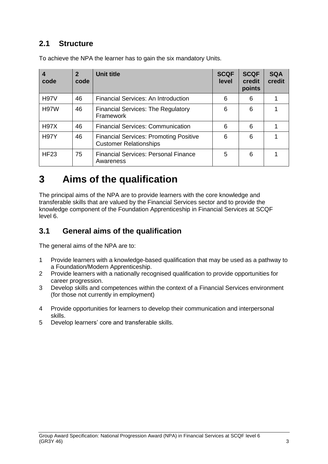### <span id="page-4-0"></span>**2.1 Structure**

| 4<br>code   | $\overline{2}$<br>code | <b>Unit title</b>                                                              | <b>SCQF</b><br>level | <b>SCQF</b><br>credit<br>points | <b>SQA</b><br>credit |
|-------------|------------------------|--------------------------------------------------------------------------------|----------------------|---------------------------------|----------------------|
| <b>H97V</b> | 46                     | <b>Financial Services: An Introduction</b>                                     | 6                    | 6                               |                      |
| <b>H97W</b> | 46                     | <b>Financial Services: The Regulatory</b><br>Framework                         | 6                    | 6                               |                      |
| <b>H97X</b> | 46                     | <b>Financial Services: Communication</b>                                       | 6                    | 6                               |                      |
| <b>H97Y</b> | 46                     | <b>Financial Services: Promoting Positive</b><br><b>Customer Relationships</b> | 6                    | 6                               |                      |
| <b>HF23</b> | 75                     | <b>Financial Services: Personal Finance</b><br>Awareness                       | 5                    | 6                               |                      |

To achieve the NPA the learner has to gain the six mandatory Units.

## <span id="page-4-1"></span>**3 Aims of the qualification**

The principal aims of the NPA are to provide learners with the core knowledge and transferable skills that are valued by the Financial Services sector and to provide the knowledge component of the Foundation Apprenticeship in Financial Services at SCQF level 6.

### <span id="page-4-2"></span>**3.1 General aims of the qualification**

The general aims of the NPA are to:

- 1 Provide learners with a knowledge-based qualification that may be used as a pathway to a Foundation/Modern Apprenticeship.
- 2 Provide learners with a nationally recognised qualification to provide opportunities for career progression.
- 3 Develop skills and competences within the context of a Financial Services environment (for those not currently in employment)
- 4 Provide opportunities for learners to develop their communication and interpersonal skills.
- 5 Develop learners' core and transferable skills.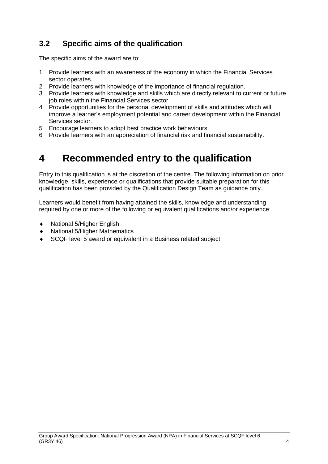## <span id="page-5-0"></span>**3.2 Specific aims of the qualification**

The specific aims of the award are to:

- 1 Provide learners with an awareness of the economy in which the Financial Services sector operates.
- 2 Provide learners with knowledge of the importance of financial regulation.
- 3 Provide learners with knowledge and skills which are directly relevant to current or future job roles within the Financial Services sector.
- 4 Provide opportunities for the personal development of skills and attitudes which will improve a learner's employment potential and career development within the Financial Services sector.
- 5 Encourage learners to adopt best practice work behaviours.
- 6 Provide learners with an appreciation of financial risk and financial sustainability.

## <span id="page-5-1"></span>**4 Recommended entry to the qualification**

Entry to this qualification is at the discretion of the centre. The following information on prior knowledge, skills, experience or qualifications that provide suitable preparation for this qualification has been provided by the Qualification Design Team as guidance only.

Learners would benefit from having attained the skills, knowledge and understanding required by one or more of the following or equivalent qualifications and/or experience:

- National 5/Higher English
- National 5/Higher Mathematics
- SCQF level 5 award or equivalent in a Business related subject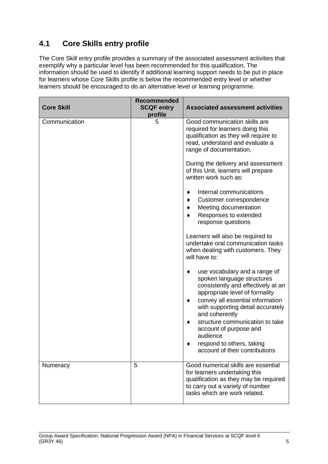## <span id="page-6-0"></span>**4.1 Core Skills entry profile**

The Core Skill entry profile provides a summary of the associated assessment activities that exemplify why a particular level has been recommended for this qualification. The information should be used to identify if additional learning support needs to be put in place for learners whose Core Skills profile is below the recommended entry level or whether learners should be encouraged to do an alternative level or learning programme.

| <b>Core Skill</b> | <b>Recommended</b><br><b>SCQF entry</b><br>profile | <b>Associated assessment activities</b>                                                                                                                                                                                             |
|-------------------|----------------------------------------------------|-------------------------------------------------------------------------------------------------------------------------------------------------------------------------------------------------------------------------------------|
| Communication     | 5                                                  | Good communication skills are<br>required for learners doing this<br>qualification as they will require to<br>read, understand and evaluate a<br>range of documentation.                                                            |
|                   |                                                    | During the delivery and assessment<br>of this Unit, learners will prepare<br>written work such as:                                                                                                                                  |
|                   |                                                    | Internal communications<br>Customer correspondence<br>Meeting documentation<br>Responses to extended<br>response questions                                                                                                          |
|                   |                                                    | Learners will also be required to<br>undertake oral communication tasks<br>when dealing with customers. They<br>will have to:                                                                                                       |
|                   |                                                    | use vocabulary and a range of<br>spoken language structures<br>consistently and effectively at an<br>appropriate level of formality<br>convey all essential information<br>٠<br>with supporting detail accurately<br>and coherently |
|                   |                                                    | structure communication to take<br>account of purpose and<br>audience<br>respond to others, taking<br>account of their contributions                                                                                                |
| Numeracy          | 5                                                  | Good numerical skills are essential<br>for learners undertaking this<br>qualification as they may be required<br>to carry out a variety of number<br>tasks which are work related.                                                  |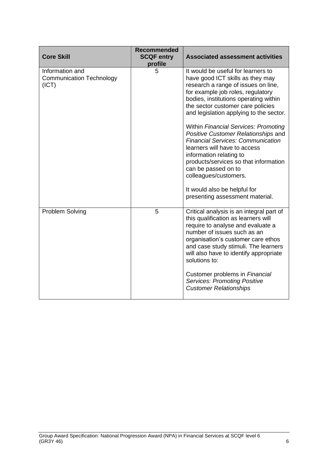| <b>Core Skill</b>                                           | <b>Recommended</b><br><b>SCQF entry</b><br>profile | <b>Associated assessment activities</b>                                                                                                                                                                                                                                                                                                                                                                                                                                                                                                                                                                                       |
|-------------------------------------------------------------|----------------------------------------------------|-------------------------------------------------------------------------------------------------------------------------------------------------------------------------------------------------------------------------------------------------------------------------------------------------------------------------------------------------------------------------------------------------------------------------------------------------------------------------------------------------------------------------------------------------------------------------------------------------------------------------------|
| Information and<br><b>Communication Technology</b><br>(ICT) | 5                                                  | It would be useful for learners to<br>have good ICT skills as they may<br>research a range of issues on line,<br>for example job roles, regulatory<br>bodies, institutions operating within<br>the sector customer care policies<br>and legislation applying to the sector.<br>Within Financial Services: Promoting<br>Positive Customer Relationships and<br><b>Financial Services: Communication</b><br>learners will have to access<br>information relating to<br>products/services so that information<br>can be passed on to<br>colleagues/customers.<br>It would also be helpful for<br>presenting assessment material. |
| Problem Solving                                             | 5                                                  | Critical analysis is an integral part of<br>this qualification as learners will<br>require to analyse and evaluate a<br>number of issues such as an<br>organisation's customer care ethos<br>and case study stimuli. The learners<br>will also have to identify appropriate<br>solutions to:<br>Customer problems in Financial<br><b>Services: Promoting Positive</b><br><b>Customer Relationships</b>                                                                                                                                                                                                                        |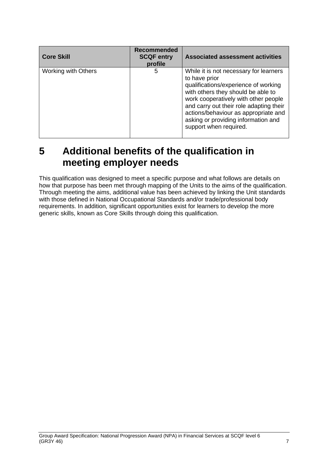| <b>Core Skill</b>   | Recommended<br><b>SCQF entry</b><br>profile | <b>Associated assessment activities</b>                                                                                                                                                                                                                                                                                           |
|---------------------|---------------------------------------------|-----------------------------------------------------------------------------------------------------------------------------------------------------------------------------------------------------------------------------------------------------------------------------------------------------------------------------------|
| Working with Others | 5                                           | While it is not necessary for learners<br>to have prior<br>qualifications/experience of working<br>with others they should be able to<br>work cooperatively with other people<br>and carry out their role adapting their<br>actions/behaviour as appropriate and<br>asking or providing information and<br>support when required. |

## <span id="page-8-0"></span>**5 Additional benefits of the qualification in meeting employer needs**

This qualification was designed to meet a specific purpose and what follows are details on how that purpose has been met through mapping of the Units to the aims of the qualification. Through meeting the aims, additional value has been achieved by linking the Unit standards with those defined in National Occupational Standards and/or trade/professional body requirements. In addition, significant opportunities exist for learners to develop the more generic skills, known as Core Skills through doing this qualification.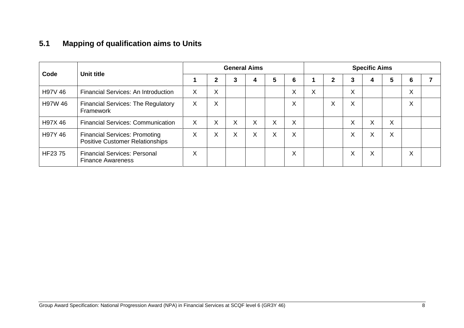## **5.1 Mapping of qualification aims to Units**

<span id="page-9-0"></span>

|         |                                                                                | <b>General Aims</b> |                   |   |   |   |                   | <b>Specific Aims</b>      |              |   |                   |   |                   |  |
|---------|--------------------------------------------------------------------------------|---------------------|-------------------|---|---|---|-------------------|---------------------------|--------------|---|-------------------|---|-------------------|--|
| Code    | Unit title                                                                     |                     | $\mathbf{2}$      | 3 | 4 | 5 | 6                 |                           | $\mathbf{2}$ | 3 | 4                 | 5 | 6                 |  |
| H97V 46 | Financial Services: An Introduction                                            | X                   | v<br>$\lambda$    |   |   |   | $\checkmark$<br>v | $\checkmark$<br>$\lambda$ |              | X |                   |   | $\checkmark$<br>⋏ |  |
| H97W 46 | <b>Financial Services: The Regulatory</b><br>Framework                         | X                   | $\checkmark$<br>Ā |   |   |   | X                 |                           | Χ            | X |                   |   | $\checkmark$<br>⋏ |  |
| H97X 46 | <b>Financial Services: Communication</b>                                       | X                   | X                 | X | X | X | X                 |                           |              | X | X                 | X |                   |  |
| H97Y 46 | <b>Financial Services: Promoting</b><br><b>Positive Customer Relationships</b> | $\sim$              | $\sqrt{}$<br>ㅅ    | X | X | X | X                 |                           |              | X | $\checkmark$<br>A | X |                   |  |
| HF2375  | <b>Financial Services: Personal</b><br><b>Finance Awareness</b>                | X                   |                   |   |   |   | X                 |                           |              | X | X                 |   | X                 |  |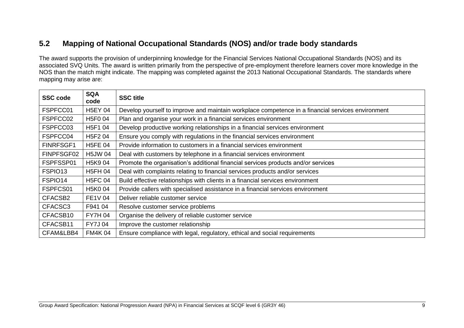### **5.2 Mapping of National Occupational Standards (NOS) and/or trade body standards**

The award supports the provision of underpinning knowledge for the Financial Services National Occupational Standards (NOS) and its associated SVQ Units. The award is written primarily from the perspective of pre-employment therefore learners cover more knowledge in the NOS than the match might indicate. The mapping was completed against the 2013 National Occupational Standards. The standards where mapping may arise are:

<span id="page-10-0"></span>

| <b>SSC code</b>  | <b>SQA</b><br>code               | <b>SSC title</b>                                                                                  |
|------------------|----------------------------------|---------------------------------------------------------------------------------------------------|
| FSPFCC01         | <b>H5EY 04</b>                   | Develop yourself to improve and maintain workplace competence in a financial services environment |
| FSPFCC02         | H5F004                           | Plan and organise your work in a financial services environment                                   |
| FSPFCC03         | H5F1 04                          | Develop productive working relationships in a financial services environment                      |
| FSPFCC04         | H <sub>5</sub> F <sub>2</sub> 04 | Ensure you comply with regulations in the financial services environment                          |
| <b>FINRFSGF1</b> | <b>H5FE 04</b>                   | Provide information to customers in a financial services environment                              |
| FINPFSGF02       | <b>H5JW04</b>                    | Deal with customers by telephone in a financial services environment                              |
| FSPFSSP01        | H <sub>5</sub> K <sub>9</sub> 04 | Promote the organisation's additional financial services products and/or services                 |
| FSPIO13          | <b>H5FH 04</b>                   | Deal with complaints relating to financial services products and/or services                      |
| FSPIO14          | <b>H5FC 04</b>                   | Build effective relationships with clients in a financial services environment                    |
| FSPFCS01         | H5K004                           | Provide callers with specialised assistance in a financial services environment                   |
| CFACSB2          | <b>FE1V 04</b>                   | Deliver reliable customer service                                                                 |
| CFACSC3          | F941 04                          | Resolve customer service problems                                                                 |
| CFACSB10         | <b>FY7H 04</b>                   | Organise the delivery of reliable customer service                                                |
| CFACSB11         | <b>FY7J04</b>                    | Improve the customer relationship                                                                 |
| CFAM&LBB4        | <b>FM4K04</b>                    | Ensure compliance with legal, regulatory, ethical and social requirements                         |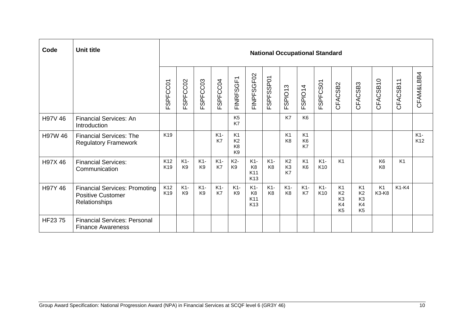| Code    | <b>Unit title</b>                                                                 |                        | <b>National Occupational Standard</b> |                         |             |                                                                      |                                                   |                         |                                        |                                        |                          |                                                                            |                                                                            |                                  |                |              |
|---------|-----------------------------------------------------------------------------------|------------------------|---------------------------------------|-------------------------|-------------|----------------------------------------------------------------------|---------------------------------------------------|-------------------------|----------------------------------------|----------------------------------------|--------------------------|----------------------------------------------------------------------------|----------------------------------------------------------------------------|----------------------------------|----------------|--------------|
|         |                                                                                   | FSPFCC01               | SPFCC02<br>LĖ                         | SPFCC03<br>ш.           | FSPFCC04    | FINRFSGF1                                                            | FINPFSGF02                                        | FSPFSSP01               | SPIO <sub>13</sub><br>ய                | FSPIO14                                | FSPFCS01                 | CFACSB2                                                                    | CFACSB3                                                                    | CFACSB10                         | CFACSB11       | CFAM&LBB4    |
| H97V 46 | <b>Financial Services: An</b><br>Introduction                                     |                        |                                       |                         |             | K <sub>5</sub><br>K7                                                 |                                                   |                         | K7                                     | K <sub>6</sub>                         |                          |                                                                            |                                                                            |                                  |                |              |
| H97W 46 | <b>Financial Services: The</b><br><b>Regulatory Framework</b>                     | K <sub>19</sub>        |                                       |                         | $K1-$<br>K7 | K <sub>1</sub><br>K <sub>2</sub><br>K <sub>8</sub><br>K <sub>9</sub> |                                                   |                         | K <sub>1</sub><br>K <sub>8</sub>       | K <sub>1</sub><br>K <sub>6</sub><br>K7 |                          |                                                                            |                                                                            |                                  |                | $K1-$<br>K12 |
| H97X 46 | <b>Financial Services:</b><br>Communication                                       | K12<br>K <sub>19</sub> | $K1-$<br>K <sub>9</sub>               | $K1-$<br>K <sub>9</sub> | $K1-$<br>K7 | K <sub>2</sub> -<br>K <sub>9</sub>                                   | $K1-$<br>K <sub>8</sub><br>K11<br>K <sub>13</sub> | $K1-$<br>K <sub>8</sub> | K <sub>2</sub><br>K <sub>3</sub><br>K7 | K <sub>1</sub><br>K <sub>6</sub>       | $K1-$<br>K <sub>10</sub> | K1                                                                         |                                                                            | K <sub>6</sub><br>K <sub>8</sub> | K <sub>1</sub> |              |
| H97Y 46 | <b>Financial Services: Promoting</b><br><b>Positive Customer</b><br>Relationships | K12<br>K <sub>19</sub> | $K1-$<br>K <sub>9</sub>               | $K1-$<br>K <sub>9</sub> | $K1-$<br>K7 | $K1-$<br>K <sub>9</sub>                                              | $K1-$<br>K <sub>8</sub><br>K11<br>K <sub>13</sub> | K1-<br>K <sub>8</sub>   | $K1-$<br>K <sub>8</sub>                | $K1-$<br>K7                            | $K1-$<br>K <sub>10</sub> | K <sub>1</sub><br>K <sub>2</sub><br>K <sub>3</sub><br>K4<br>K <sub>5</sub> | K <sub>1</sub><br>K <sub>2</sub><br>K <sub>3</sub><br>K4<br>K <sub>5</sub> | K <sub>1</sub><br>K3-K8          | K1-K4          |              |
| HF2375  | <b>Financial Services: Personal</b><br><b>Finance Awareness</b>                   |                        |                                       |                         |             |                                                                      |                                                   |                         |                                        |                                        |                          |                                                                            |                                                                            |                                  |                |              |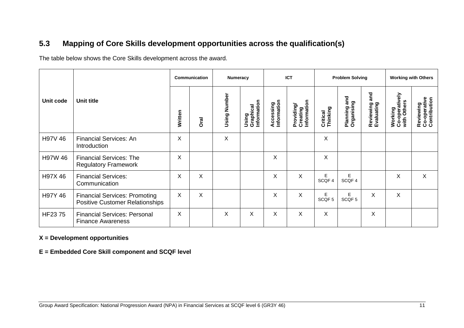### **5.3 Mapping of Core Skills development opportunities across the qualification(s)**

The table below shows the Core Skills development across the award.

|           |                                                                                | Communication |             | Numeracy          |                                   | <b>ICT</b>               |                                       | <b>Problem Solving</b> |                            |                                | <b>Working with Others</b>               |                                           |
|-----------|--------------------------------------------------------------------------------|---------------|-------------|-------------------|-----------------------------------|--------------------------|---------------------------------------|------------------------|----------------------------|--------------------------------|------------------------------------------|-------------------------------------------|
| Unit code | Unit title                                                                     | Written       | <b>Oral</b> | Number<br>Using I | Using<br>Graphical<br>Information | Accessing<br>Information | Information<br>Providing/<br>Creating | Critical<br>Thinking   | Planning and<br>Organising | and<br>Reviewing<br>Evaluating | Working<br>Co-operatively<br>with Others | Reviewing<br>Co-operative<br>Contribution |
| H97V 46   | <b>Financial Services: An</b><br>Introduction                                  | X             |             | X                 |                                   |                          |                                       | X                      |                            |                                |                                          |                                           |
| H97W 46   | <b>Financial Services: The</b><br><b>Regulatory Framework</b>                  | X             |             |                   |                                   | Χ                        |                                       | X                      |                            |                                |                                          |                                           |
| H97X 46   | <b>Financial Services:</b><br>Communication                                    | X             | X           |                   |                                   | Χ                        | X                                     | Е<br>SCQF 4            | E<br>SCQF 4                |                                | X                                        | X                                         |
| H97Y 46   | <b>Financial Services: Promoting</b><br><b>Positive Customer Relationships</b> | X             | X           |                   |                                   | X                        | X                                     | Е<br>SCQF <sub>5</sub> | Е<br>SCQF <sub>5</sub>     | X                              | X                                        |                                           |
| HF2375    | <b>Financial Services: Personal</b><br><b>Finance Awareness</b>                | X             |             | X                 | X                                 | X                        | X                                     | X                      |                            | X                              |                                          |                                           |

#### <span id="page-12-0"></span>**X = Development opportunities**

**E = Embedded Core Skill component and SCQF level**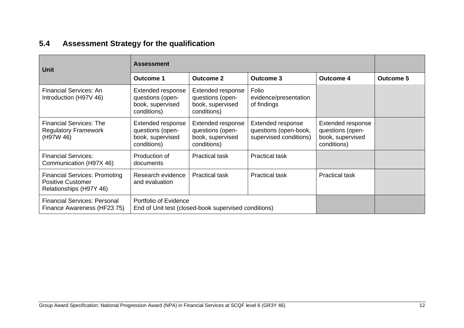## **5.4 Assessment Strategy for the qualification**

<span id="page-13-0"></span>

| <b>Unit</b>                                                                                 | <b>Assessment</b>                                                             |                                                                          |                                                                      |                                                                          |                  |
|---------------------------------------------------------------------------------------------|-------------------------------------------------------------------------------|--------------------------------------------------------------------------|----------------------------------------------------------------------|--------------------------------------------------------------------------|------------------|
|                                                                                             | <b>Outcome 1</b>                                                              | <b>Outcome 2</b>                                                         | <b>Outcome 3</b>                                                     | <b>Outcome 4</b>                                                         | <b>Outcome 5</b> |
| <b>Financial Services: An</b><br>Introduction (H97V 46)                                     | Extended response<br>questions (open-<br>book, supervised<br>conditions)      | Extended response<br>questions (open-<br>book, supervised<br>conditions) | Folio<br>evidence/presentation<br>of findings                        |                                                                          |                  |
| <b>Financial Services: The</b><br><b>Regulatory Framework</b><br>(H97W 46)                  | Extended response<br>questions (open-<br>book, supervised<br>conditions)      | Extended response<br>questions (open-<br>book, supervised<br>conditions) | Extended response<br>questions (open-book,<br>supervised conditions) | Extended response<br>questions (open-<br>book, supervised<br>conditions) |                  |
| <b>Financial Services:</b><br>Communication (H97X 46)                                       | Production of<br>documents                                                    | <b>Practical task</b>                                                    | <b>Practical task</b>                                                |                                                                          |                  |
| <b>Financial Services: Promoting</b><br><b>Positive Customer</b><br>Relationships (H97Y 46) | Research evidence<br>and evaluation                                           | <b>Practical task</b>                                                    | <b>Practical task</b>                                                | <b>Practical task</b>                                                    |                  |
| <b>Financial Services: Personal</b><br>Finance Awareness (HF23 75)                          | Portfolio of Evidence<br>End of Unit test (closed-book supervised conditions) |                                                                          |                                                                      |                                                                          |                  |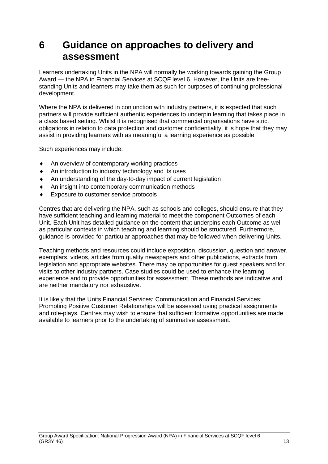## <span id="page-14-0"></span>**6 Guidance on approaches to delivery and assessment**

Learners undertaking Units in the NPA will normally be working towards gaining the Group Award — the NPA in Financial Services at SCQF level 6. However, the Units are freestanding Units and learners may take them as such for purposes of continuing professional development.

Where the NPA is delivered in conjunction with industry partners, it is expected that such partners will provide sufficient authentic experiences to underpin learning that takes place in a class based setting. Whilst it is recognised that commercial organisations have strict obligations in relation to data protection and customer confidentiality, it is hope that they may assist in providing learners with as meaningful a learning experience as possible.

Such experiences may include:

- ◆ An overview of contemporary working practices
- ◆ An introduction to industry technology and its uses
- An understanding of the day-to-day impact of current legislation
- An insight into contemporary communication methods
- **Exposure to customer service protocols**

Centres that are delivering the NPA, such as schools and colleges, should ensure that they have sufficient teaching and learning material to meet the component Outcomes of each Unit. Each Unit has detailed guidance on the content that underpins each Outcome as well as particular contexts in which teaching and learning should be structured. Furthermore, guidance is provided for particular approaches that may be followed when delivering Units.

Teaching methods and resources could include exposition, discussion, question and answer, exemplars, videos, articles from quality newspapers and other publications, extracts from legislation and appropriate websites. There may be opportunities for guest speakers and for visits to other industry partners. Case studies could be used to enhance the learning experience and to provide opportunities for assessment. These methods are indicative and are neither mandatory nor exhaustive.

It is likely that the Units Financial Services: Communication and Financial Services: Promoting Positive Customer Relationships will be assessed using practical assignments and role-plays. Centres may wish to ensure that sufficient formative opportunities are made available to learners prior to the undertaking of summative assessment.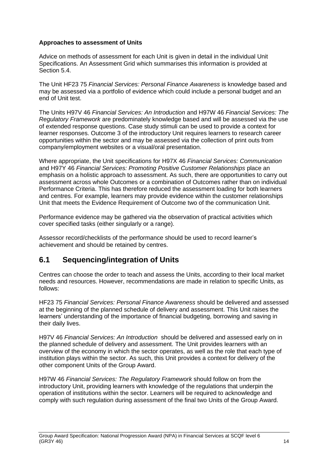#### **Approaches to assessment of Units**

Advice on methods of assessment for each Unit is given in detail in the individual Unit Specifications. An Assessment Grid which summarises this information is provided at Section 5.4.

The Unit HF23 75 *Financial Services: Personal Finance Awareness* is knowledge based and may be assessed via a portfolio of evidence which could include a personal budget and an end of Unit test.

The Units H97V 46 *Financial Services: An Introduction* and H97W 46 *Financial Services: The Regulatory Framework* are predominately knowledge based and will be assessed via the use of extended response questions. Case study stimuli can be used to provide a context for learner responses. Outcome 3 of the introductory Unit requires learners to research career opportunities within the sector and may be assessed via the collection of print outs from company/employment websites or a visual/oral presentation.

Where appropriate, the Unit specifications for H97X 46 *Financial Services: Communication*  and H97Y 46 *Financial Services: Promoting Positive Customer Relationships* place an emphasis on a holistic approach to assessment. As such, there are opportunities to carry out assessment across whole Outcomes or a combination of Outcomes rather than on individual Performance Criteria. This has therefore reduced the assessment loading for both learners and centres. For example, learners may provide evidence within the customer relationships Unit that meets the Evidence Requirement of Outcome two of the communication Unit.

Performance evidence may be gathered via the observation of practical activities which cover specified tasks (either singularly or a range).

Assessor record/checklists of the performance should be used to record learner's achievement and should be retained by centres.

### <span id="page-15-0"></span>**6.1 Sequencing/integration of Units**

Centres can choose the order to teach and assess the Units, according to their local market needs and resources. However, recommendations are made in relation to specific Units, as follows:

HF23 75 *Financial Services: Personal Finance Awareness* should be delivered and assessed at the beginning of the planned schedule of delivery and assessment. This Unit raises the learners' understanding of the importance of financial budgeting, borrowing and saving in their daily lives.

H97V 46 *Financial Services: An Introduction* should be delivered and assessed early on in the planned schedule of delivery and assessment. The Unit provides learners with an overview of the economy in which the sector operates, as well as the role that each type of institution plays within the sector. As such, this Unit provides a context for delivery of the other component Units of the Group Award.

H97W 46 *Financial Services: The Regulatory Framework* should follow on from the introductory Unit, providing learners with knowledge of the regulations that underpin the operation of institutions within the sector. Learners will be required to acknowledge and comply with such regulation during assessment of the final two Units of the Group Award.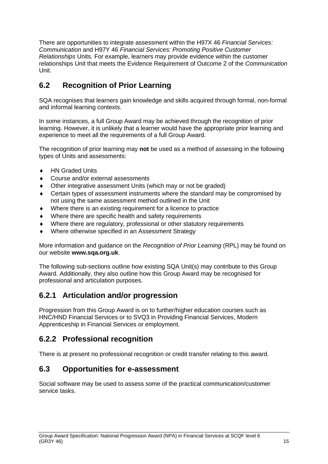There are opportunities to integrate assessment within the H97X 46 *Financial Services: Communication* and H97Y 46 *Financial Services: Promoting Positive Customer Relationships* Units. For example, learners may provide evidence within the customer relationships Unit that meets the Evidence Requirement of Outcome 2 of the *Communication*  Unit.

## <span id="page-16-0"></span>**6.2 Recognition of Prior Learning**

SQA recognises that learners gain knowledge and skills acquired through formal, non-formal and informal learning contexts.

In some instances, a full Group Award may be achieved through the recognition of prior learning. However, it is unlikely that a learner would have the appropriate prior learning and experience to meet all the requirements of a full Group Award.

The recognition of prior learning may **not** be used as a method of assessing in the following types of Units and assessments:

- ◆ HN Graded Units
- Course and/or external assessments
- Other integrative assessment Units (which may or not be graded)
- Certain types of assessment instruments where the standard may be compromised by not using the same assessment method outlined in the Unit
- Where there is an existing requirement for a licence to practice
- Where there are specific health and safety requirements
- Where there are regulatory, professional or other statutory requirements
- Where otherwise specified in an Assessment Strategy

More information and guidance on the *Recognition of Prior Learning* (RPL) may be found on our website **[www.sqa.org.uk](http://www.sqa.org.uk/)**.

The following sub-sections outline how existing SQA Unit(s) may contribute to this Group Award. Additionally, they also outline how this Group Award may be recognised for professional and articulation purposes.

### **6.2.1 Articulation and/or progression**

Progression from this Group Award is on to further/higher education courses such as HNC/HND Financial Services or to SVQ3 in Providing Financial Services, Modern Apprenticeship in Financial Services or employment.

### **6.2.2 Professional recognition**

There is at present no professional recognition or credit transfer relating to this award.

### <span id="page-16-1"></span>**6.3 Opportunities for e-assessment**

Social software may be used to assess some of the practical communication/customer service tasks.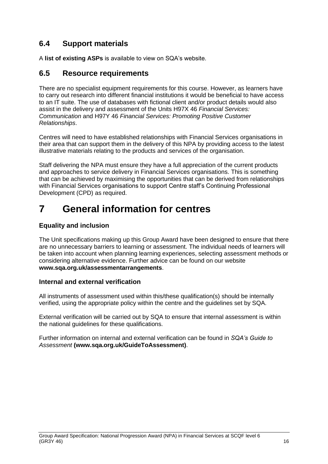### <span id="page-17-0"></span>**6.4 Support materials**

A **[list of existing ASPs](http://www.sqa.org.uk/sqa/46233.2769.html)** is available to view on SQA's website.

### <span id="page-17-1"></span>**6.5 Resource requirements**

There are no specialist equipment requirements for this course. However, as learners have to carry out research into different financial institutions it would be beneficial to have access to an IT suite. The use of databases with fictional client and/or product details would also assist in the delivery and assessment of the Units H97X 46 *Financial Services: Communication* and H97Y 46 *Financial Services: Promoting Positive Customer Relationships*.

Centres will need to have established relationships with Financial Services organisations in their area that can support them in the delivery of this NPA by providing access to the latest illustrative materials relating to the products and services of the organisation.

Staff delivering the NPA must ensure they have a full appreciation of the current products and approaches to service delivery in Financial Services organisations. This is something that can be achieved by maximising the opportunities that can be derived from relationships with Financial Services organisations to support Centre staff's Continuing Professional Development (CPD) as required.

## <span id="page-17-2"></span>**7 General information for centres**

#### **Equality and inclusion**

The Unit specifications making up this Group Award have been designed to ensure that there are no unnecessary barriers to learning or assessment. The individual needs of learners will be taken into account when planning learning experiences, selecting assessment methods or considering alternative evidence. Further advice can be found on our website **[www.sqa.org.uk/assessmentarrangements](http://www.sqa.org.uk/sqa/14977.html)**.

#### **Internal and external verification**

All instruments of assessment used within this/these qualification(s) should be internally verified, using the appropriate policy within the centre and the guidelines set by SQA.

External verification will be carried out by SQA to ensure that internal assessment is within the national guidelines for these qualifications.

Further information on internal and external verification can be found in *SQA's Guide to Assessment* **[\(www.sqa.org.uk/GuideToAssessment\)](http://www.sqa.org.uk/sqa/files_ccc/GuideToAssessment.pdf)**.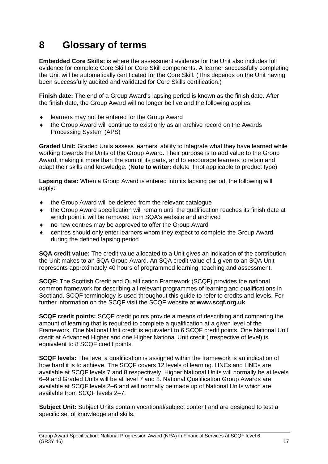## <span id="page-18-0"></span>**8 Glossary of terms**

**Embedded Core Skills:** is where the assessment evidence for the Unit also includes full evidence for complete Core Skill or Core Skill components. A learner successfully completing the Unit will be automatically certificated for the Core Skill. (This depends on the Unit having been successfully audited and validated for Core Skills certification.)

**Finish date:** The end of a Group Award's lapsing period is known as the finish date. After the finish date, the Group Award will no longer be live and the following applies:

- learners may not be entered for the Group Award
- the Group Award will continue to exist only as an archive record on the Awards Processing System (APS)

**Graded Unit:** Graded Units assess learners' ability to integrate what they have learned while working towards the Units of the Group Award. Their purpose is to add value to the Group Award, making it more than the sum of its parts, and to encourage learners to retain and adapt their skills and knowledge. (**Note to writer:** delete if not applicable to product type)

**Lapsing date:** When a Group Award is entered into its lapsing period, the following will apply:

- the Group Award will be deleted from the relevant catalogue
- the Group Award specification will remain until the qualification reaches its finish date at which point it will be removed from SQA's website and archived
- no new centres may be approved to offer the Group Award
- centres should only enter learners whom they expect to complete the Group Award during the defined lapsing period

**SQA credit value:** The credit value allocated to a Unit gives an indication of the contribution the Unit makes to an SQA Group Award. An SQA credit value of 1 given to an SQA Unit represents approximately 40 hours of programmed learning, teaching and assessment.

**SCQF:** The Scottish Credit and Qualification Framework (SCQF) provides the national common framework for describing all relevant programmes of learning and qualifications in Scotland. SCQF terminology is used throughout this guide to refer to credits and levels. For further information on the SCQF visit the SCQF website at **[www.scqf.org.uk](http://www.scqf.org.uk/)**.

**SCQF credit points:** SCQF credit points provide a means of describing and comparing the amount of learning that is required to complete a qualification at a given level of the Framework. One National Unit credit is equivalent to 6 SCQF credit points. One National Unit credit at Advanced Higher and one Higher National Unit credit (irrespective of level) is equivalent to 8 SCQF credit points.

**SCQF levels:** The level a qualification is assigned within the framework is an indication of how hard it is to achieve. The SCQF covers 12 levels of learning. HNCs and HNDs are available at SCQF levels 7 and 8 respectively. Higher National Units will normally be at levels 6–9 and Graded Units will be at level 7 and 8. National Qualification Group Awards are available at SCQF levels 2–6 and will normally be made up of National Units which are available from SCQF levels 2–7.

**Subject Unit:** Subject Units contain vocational/subject content and are designed to test a specific set of knowledge and skills.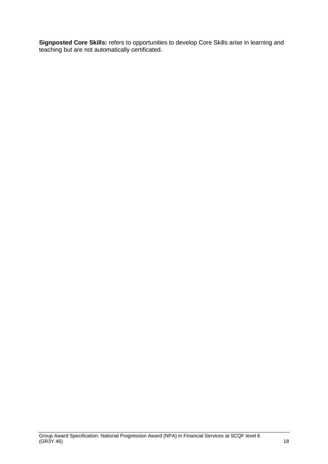**Signposted Core Skills:** refers to opportunities to develop Core Skills arise in learning and teaching but are not automatically certificated.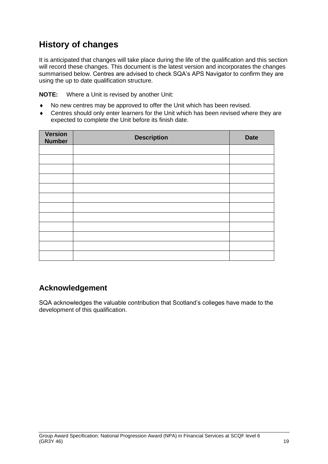## **History of changes**

It is anticipated that changes will take place during the life of the qualification and this section will record these changes. This document is the latest version and incorporates the changes summarised below. Centres are advised to check SQA's APS Navigator to confirm they are using the up to date qualification structure.

**NOTE:** Where a Unit is revised by another Unit:

- No new centres may be approved to offer the Unit which has been revised.
- Centres should only enter learners for the Unit which has been revised where they are expected to complete the Unit before its finish date.

| <b>Version</b><br><b>Number</b> | <b>Description</b> | <b>Date</b> |
|---------------------------------|--------------------|-------------|
|                                 |                    |             |
|                                 |                    |             |
|                                 |                    |             |
|                                 |                    |             |
|                                 |                    |             |
|                                 |                    |             |
|                                 |                    |             |
|                                 |                    |             |
|                                 |                    |             |
|                                 |                    |             |
|                                 |                    |             |
|                                 |                    |             |

## **Acknowledgement**

SQA acknowledges the valuable contribution that Scotland's colleges have made to the development of this qualification.